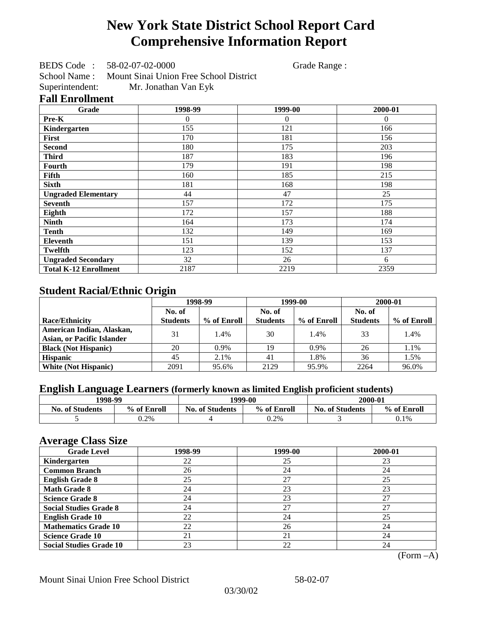# **New York State District School Report Card Comprehensive Information Report**

BEDS Code : 58-02-07-02-0000 Grade Range :

School Name : Mount Sinai Union Free School District Superintendent: Mr. Jonathan Van Eyk

### **Fall Enrollment**

| Grade                        | 1998-99  | 1999-00        | 2000-01  |
|------------------------------|----------|----------------|----------|
| Pre-K                        | $\Omega$ | $\overline{0}$ | $\Omega$ |
| Kindergarten                 | 155      | 121            | 166      |
| First                        | 170      | 181            | 156      |
| <b>Second</b>                | 180      | 175            | 203      |
| <b>Third</b>                 | 187      | 183            | 196      |
| Fourth                       | 179      | 191            | 198      |
| Fifth                        | 160      | 185            | 215      |
| <b>Sixth</b>                 | 181      | 168            | 198      |
| <b>Ungraded Elementary</b>   | 44       | 47             | 25       |
| <b>Seventh</b>               | 157      | 172            | 175      |
| Eighth                       | 172      | 157            | 188      |
| <b>Ninth</b>                 | 164      | 173            | 174      |
| <b>Tenth</b>                 | 132      | 149            | 169      |
| Eleventh                     | 151      | 139            | 153      |
| <b>Twelfth</b>               | 123      | 152            | 137      |
| <b>Ungraded Secondary</b>    | 32       | 26             | 6        |
| <b>Total K-12 Enrollment</b> | 2187     | 2219           | 2359     |

## **Student Racial/Ethnic Origin**

|                                   | 1998-99         |             |                 | 1999-00     | 2000-01         |             |
|-----------------------------------|-----------------|-------------|-----------------|-------------|-----------------|-------------|
|                                   | No. of          |             | No. of          |             | No. of          |             |
| <b>Race/Ethnicity</b>             | <b>Students</b> | % of Enroll | <b>Students</b> | % of Enroll | <b>Students</b> | % of Enroll |
| American Indian, Alaskan,         | 31              | 1.4%        | 30              | 1.4%        | 33              | 1.4%        |
| <b>Asian, or Pacific Islander</b> |                 |             |                 |             |                 |             |
| <b>Black (Not Hispanic)</b>       | 20              | $0.9\%$     | 19              | $0.9\%$     | 26              | 1.1%        |
| <b>Hispanic</b>                   | 45              | 2.1%        | 41              | 1.8%        | 36              | 1.5%        |
| <b>White (Not Hispanic)</b>       | 2091            | 95.6%       | 2129            | 95.9%       | 2264            | 96.0%       |

## **English Language Learners (formerly known as limited English proficient students)**

| 1998-99                |             |                        | 1999-00     |                        | 2000-01     |  |
|------------------------|-------------|------------------------|-------------|------------------------|-------------|--|
| <b>No. of Students</b> | % of Enroll | <b>No. of Students</b> | % of Enroll | <b>No. of Students</b> | % of Enroll |  |
|                        | 0.2%        |                        | 0.2%        |                        | 0.1%        |  |

### **Average Class Size**

| <u>ືຕ</u><br><b>Grade Level</b> | 1998-99 | 1999-00 | 2000-01 |
|---------------------------------|---------|---------|---------|
| Kindergarten                    | 22      | 25      | 23      |
| <b>Common Branch</b>            | 26      | 24      | 24      |
| <b>English Grade 8</b>          | 25      | 27      | 25      |
| <b>Math Grade 8</b>             | 24      | 23      | 23      |
| <b>Science Grade 8</b>          | 24      | 23      | 27      |
| <b>Social Studies Grade 8</b>   | 24      | 27      | 27      |
| <b>English Grade 10</b>         | 22      | 24      | 25      |
| <b>Mathematics Grade 10</b>     | 22      | 26      | 24      |
| <b>Science Grade 10</b>         | 21      | 21      | 24      |
| <b>Social Studies Grade 10</b>  | 23      | 22      | 24      |

(Form –A)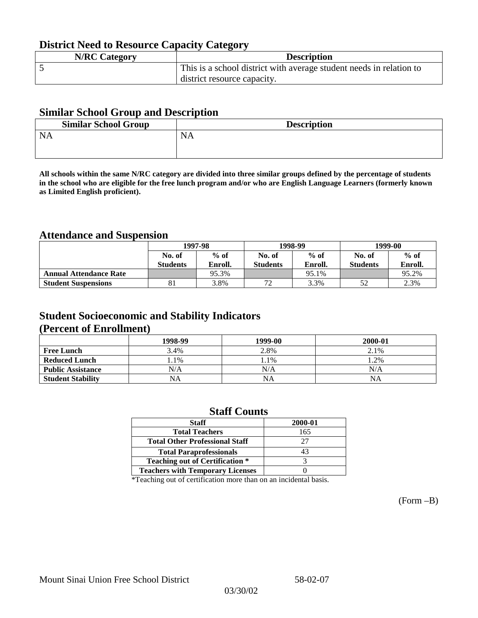## **District Need to Resource Capacity Category**

| <b>N/RC Category</b> | <b>Description</b>                                                  |
|----------------------|---------------------------------------------------------------------|
|                      | This is a school district with average student needs in relation to |
|                      | district resource capacity.                                         |

### **Similar School Group and Description**

| <b>Similar School Group</b> | <b>Description</b> |
|-----------------------------|--------------------|
| <b>NA</b>                   | <b>NA</b>          |
|                             |                    |

**All schools within the same N/RC category are divided into three similar groups defined by the percentage of students in the school who are eligible for the free lunch program and/or who are English Language Learners (formerly known as Limited English proficient).**

## **Attendance and Suspension**

|                               | 1997-98          |         |                 | 1998-99 | 1999-00         |         |
|-------------------------------|------------------|---------|-----------------|---------|-----------------|---------|
|                               | $%$ of<br>No. of |         | No. of          | $%$ of  | No. of          | $%$ of  |
|                               | <b>Students</b>  | Enroll. | <b>Students</b> | Enroll. | <b>Students</b> | Enroll. |
| <b>Annual Attendance Rate</b> |                  | 95.3%   |                 | 95.1%   |                 | 95.2%   |
| <b>Student Suspensions</b>    | 81               | 3.8%    | 70              | 3.3%    |                 | 2.3%    |

## **Student Socioeconomic and Stability Indicators (Percent of Enrollment)**

|                          | 1998-99 | 1999-00   | 2000-01 |
|--------------------------|---------|-----------|---------|
| <b>Free Lunch</b>        | 3.4%    | 2.8%      | 2.1%    |
| <b>Reduced Lunch</b>     | $.1\%$  | 1.1%      | $.2\%$  |
| <b>Public Assistance</b> | N/A     | N/A       | N/A     |
| <b>Student Stability</b> | NA      | <b>NA</b> | NA      |

### **Staff Counts**

| <b>Staff</b>                            | 2000-01 |
|-----------------------------------------|---------|
| <b>Total Teachers</b>                   | 165     |
| <b>Total Other Professional Staff</b>   | 27      |
| <b>Total Paraprofessionals</b>          | 43      |
| <b>Teaching out of Certification *</b>  |         |
| <b>Teachers with Temporary Licenses</b> |         |

\*Teaching out of certification more than on an incidental basis.

(Form –B)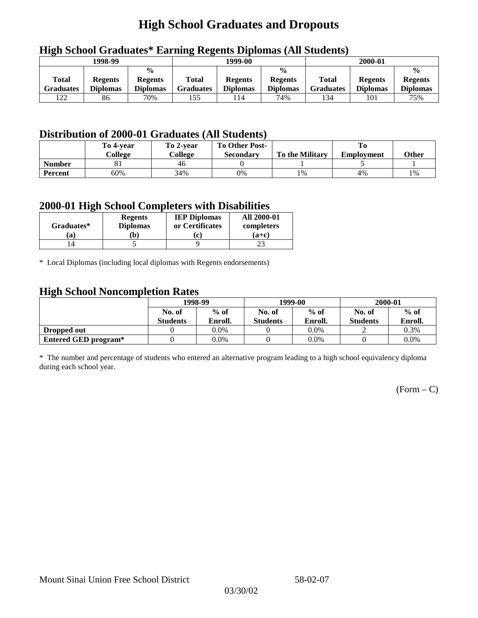## **High School Graduates and Dropouts**

|                           | 1998-99                           |                                                    | -<br>1999-00              |                                   |                                                    | 2000-01                          |                                   |                                                    |
|---------------------------|-----------------------------------|----------------------------------------------------|---------------------------|-----------------------------------|----------------------------------------------------|----------------------------------|-----------------------------------|----------------------------------------------------|
| Total<br><b>Graduates</b> | <b>Regents</b><br><b>Diplomas</b> | $\frac{6}{6}$<br><b>Regents</b><br><b>Diplomas</b> | Total<br><b>Graduates</b> | <b>Regents</b><br><b>Diplomas</b> | $\frac{0}{0}$<br><b>Regents</b><br><b>Diplomas</b> | <b>Total</b><br><b>Graduates</b> | <b>Regents</b><br><b>Diplomas</b> | $\frac{0}{0}$<br><b>Regents</b><br><b>Diplomas</b> |
| 122                       | 86                                | 70%                                                | 155                       | 114                               | 74%                                                | 134                              | 101                               | 75%                                                |

## **High School Graduates\* Earning Regents Diplomas (All Students)**

## **Distribution of 2000-01 Graduates (All Students)**

|               | To 4-vear | To 2-year | <b>To Other Post-</b> |                        |                   |       |
|---------------|-----------|-----------|-----------------------|------------------------|-------------------|-------|
|               | College   | College   | Secondary             | <b>To the Military</b> | <b>Employment</b> | Other |
| <b>Number</b> | ΟI        | 46        |                       |                        |                   |       |
| Percent       | 60%       | 34%       | 0%                    | 1%                     | 4%                | 1%    |

### **2000-01 High School Completers with Disabilities**

|            | <b>Regents</b>  | <b>IEP Diplomas</b> | <b>All 2000-01</b> |
|------------|-----------------|---------------------|--------------------|
| Graduates* | <b>Diplomas</b> | or Certificates     | completers         |
| 'a         | b)              | Ιe                  | $(a+c)$            |
|            |                 |                     |                    |

\* Local Diplomas (including local diplomas with Regents endorsements)

### **High School Noncompletion Rates**

| $\tilde{\phantom{a}}$ | 1998-99         |         |                 | 1999-00 | 2000-01         |         |
|-----------------------|-----------------|---------|-----------------|---------|-----------------|---------|
|                       | No. of          | $%$ of  | No. of          | $%$ of  | No. of          | $%$ of  |
|                       | <b>Students</b> | Enroll. | <b>Students</b> | Enroll. | <b>Students</b> | Enroll. |
| Dropped out           |                 | $0.0\%$ |                 | $0.0\%$ |                 | 0.3%    |
| Entered GED program*  |                 | 0.0%    |                 | $0.0\%$ |                 | $0.0\%$ |

\* The number and percentage of students who entered an alternative program leading to a high school equivalency diploma during each school year.

 $(Form - C)$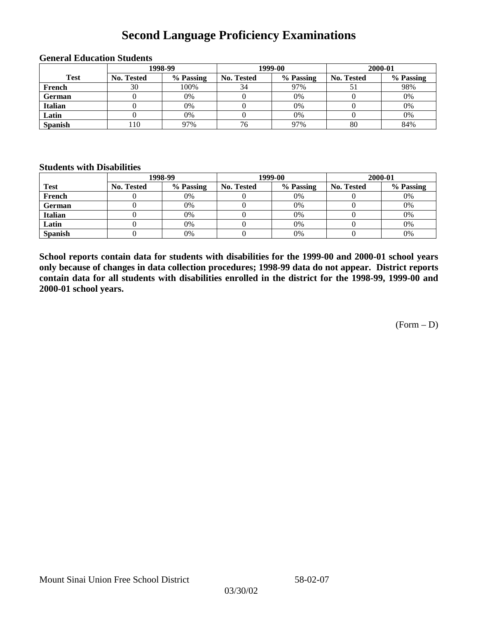## **Second Language Proficiency Examinations**

|                | 1998-99    |           |                   | 1999-00   | 2000-01    |           |  |
|----------------|------------|-----------|-------------------|-----------|------------|-----------|--|
| <b>Test</b>    | No. Tested | % Passing | <b>No. Tested</b> | % Passing | No. Tested | % Passing |  |
| French         | 30         | 100%      | 34                | 97%       |            | 98%       |  |
| <b>German</b>  |            | 0%        |                   | 0%        |            | 0%        |  |
| <b>Italian</b> |            | 0%        |                   | $0\%$     |            | 0%        |  |
| Latin          |            | 0%        |                   | 0%        |            | 0%        |  |
| <b>Spanish</b> | .10        | 97%       | 76                | 97%       | 80         | 84%       |  |

#### **General Education Students**

### **Students with Disabilities**

|                | 1998-99    |           |                   | 1999-00   | 2000-01    |           |  |
|----------------|------------|-----------|-------------------|-----------|------------|-----------|--|
| <b>Test</b>    | No. Tested | % Passing | <b>No. Tested</b> | % Passing | No. Tested | % Passing |  |
| French         |            | 0%        |                   | 0%        |            | 0%        |  |
| <b>German</b>  |            | 0%        |                   | 0%        |            | 0%        |  |
| Italian        |            | 0%        |                   | 0%        |            | 0%        |  |
| Latin          |            | 0%        |                   | $0\%$     |            | 0%        |  |
| <b>Spanish</b> |            | 0%        |                   | 0%        |            | 0%        |  |

**School reports contain data for students with disabilities for the 1999-00 and 2000-01 school years only because of changes in data collection procedures; 1998-99 data do not appear. District reports contain data for all students with disabilities enrolled in the district for the 1998-99, 1999-00 and 2000-01 school years.**

 $(Form - D)$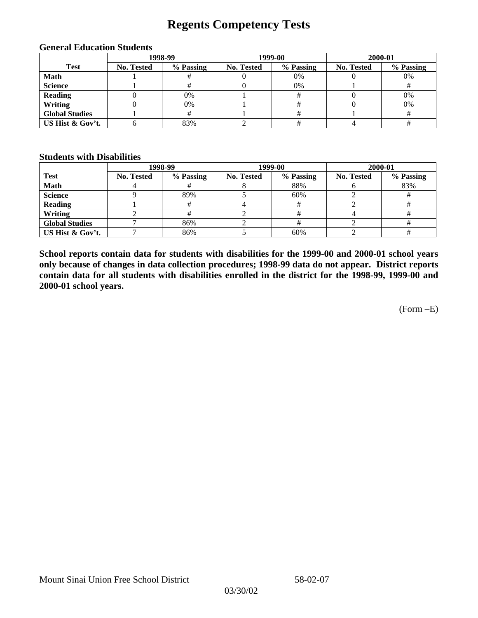## **Regents Competency Tests**

|                       | 1998-99    |           |            | 1999-00   | 2000-01    |           |  |
|-----------------------|------------|-----------|------------|-----------|------------|-----------|--|
| <b>Test</b>           | No. Tested | % Passing | No. Tested | % Passing | No. Tested | % Passing |  |
| <b>Math</b>           |            |           |            | $0\%$     |            | 0%        |  |
| <b>Science</b>        |            |           |            | $0\%$     |            |           |  |
| <b>Reading</b>        |            | 0%        |            |           |            | 0%        |  |
| Writing               |            | 0%        |            |           |            | 0%        |  |
| <b>Global Studies</b> |            |           |            |           |            |           |  |
| US Hist & Gov't.      |            | 83%       |            |           |            |           |  |

#### **General Education Students**

#### **Students with Disabilities**

|                       |                   | 1998-99   | 1999-00    |           | 2000-01           |           |
|-----------------------|-------------------|-----------|------------|-----------|-------------------|-----------|
| <b>Test</b>           | <b>No. Tested</b> | % Passing | No. Tested | % Passing | <b>No. Tested</b> | % Passing |
| <b>Math</b>           |                   |           |            | 88%       |                   | 83%       |
| <b>Science</b>        |                   | 89%       |            | 60%       |                   |           |
| <b>Reading</b>        |                   |           |            |           |                   |           |
| Writing               |                   |           |            |           |                   |           |
| <b>Global Studies</b> |                   | 86%       |            |           |                   |           |
| US Hist & Gov't.      |                   | 86%       |            | 60%       |                   |           |

**School reports contain data for students with disabilities for the 1999-00 and 2000-01 school years only because of changes in data collection procedures; 1998-99 data do not appear. District reports contain data for all students with disabilities enrolled in the district for the 1998-99, 1999-00 and 2000-01 school years.**

(Form –E)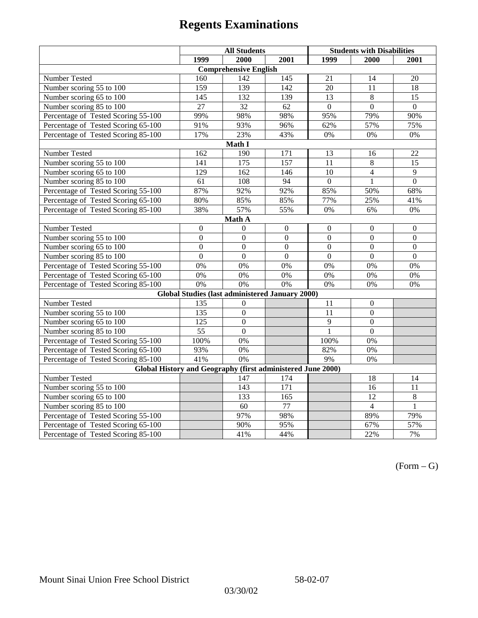|                                                             | <b>All Students</b> |                                                        |                  | <b>Students with Disabilities</b> |                  |                  |  |  |
|-------------------------------------------------------------|---------------------|--------------------------------------------------------|------------------|-----------------------------------|------------------|------------------|--|--|
|                                                             | 1999                | 2000                                                   | 2001             | 1999                              | 2000             | 2001             |  |  |
|                                                             |                     | <b>Comprehensive English</b>                           |                  |                                   |                  |                  |  |  |
| Number Tested                                               | 160                 | 142                                                    | 145              | 21                                | 14               | 20               |  |  |
| Number scoring 55 to 100                                    | 159                 | 139                                                    | 142              | 20                                | 11               | 18               |  |  |
| Number scoring 65 to 100                                    | 145                 | 132                                                    | 139              | $\overline{13}$                   | $\overline{8}$   | $\overline{15}$  |  |  |
| Number scoring 85 to 100                                    | 27                  | 32                                                     | 62               | $\Omega$                          | $\overline{0}$   | $\Omega$         |  |  |
| Percentage of Tested Scoring 55-100                         | 99%                 | 98%                                                    | 98%              | 95%                               | 79%              | 90%              |  |  |
| Percentage of Tested Scoring 65-100                         | 91%                 | 93%                                                    | 96%              | 62%                               | 57%              | 75%              |  |  |
| Percentage of Tested Scoring 85-100                         | 17%                 | 23%                                                    | 43%              | 0%                                | $0\%$            | 0%               |  |  |
|                                                             |                     | Math I                                                 |                  |                                   |                  |                  |  |  |
| <b>Number Tested</b><br>162<br>190<br>171<br>13<br>22<br>16 |                     |                                                        |                  |                                   |                  |                  |  |  |
| Number scoring 55 to 100                                    | 141                 | 175                                                    | 157              | 11                                | $\,8\,$          | 15               |  |  |
| Number scoring 65 to 100                                    | 129                 | 162                                                    | 146              | 10                                | $\overline{4}$   | 9                |  |  |
| Number scoring 85 to 100                                    | $\overline{61}$     | 108                                                    | $\overline{94}$  | $\overline{0}$                    | $\mathbf{1}$     | $\overline{0}$   |  |  |
| Percentage of Tested Scoring 55-100                         | 87%                 | 92%                                                    | 92%              | 85%                               | 50%              | 68%              |  |  |
| Percentage of Tested Scoring 65-100                         | 80%                 | 85%                                                    | 85%              | 77%                               | 25%              | 41%              |  |  |
| Percentage of Tested Scoring 85-100                         | 38%                 | 57%                                                    | 55%              | $0\%$                             | 6%               | $0\%$            |  |  |
| Math A                                                      |                     |                                                        |                  |                                   |                  |                  |  |  |
| Number Tested                                               | $\boldsymbol{0}$    | $\boldsymbol{0}$                                       | $\mathbf{0}$     | $\overline{0}$                    | $\mathbf{0}$     | $\boldsymbol{0}$ |  |  |
| Number scoring 55 to 100                                    | $\overline{0}$      | $\overline{0}$                                         | $\overline{0}$   | $\overline{0}$                    | $\overline{0}$   | $\overline{0}$   |  |  |
| Number scoring 65 to 100                                    | $\boldsymbol{0}$    | $\mathbf{0}$                                           | $\mathbf{0}$     | $\overline{0}$                    | $\boldsymbol{0}$ | $\boldsymbol{0}$ |  |  |
| Number scoring 85 to 100                                    | $\mathbf{0}$        | $\mathbf{0}$                                           | $\mathbf{0}$     | $\mathbf{0}$                      | $\mathbf{0}$     | $\boldsymbol{0}$ |  |  |
| Percentage of Tested Scoring 55-100                         | 0%                  | 0%                                                     | 0%               | 0%                                | 0%               | 0%               |  |  |
| Percentage of Tested Scoring 65-100                         | 0%                  | 0%                                                     | 0%               | 0%                                | 0%               | 0%               |  |  |
| Percentage of Tested Scoring 85-100                         | 0%                  | 0%                                                     | 0%               | 0%                                | 0%               | 0%               |  |  |
|                                                             |                     | <b>Global Studies (last administered January 2000)</b> |                  |                                   |                  |                  |  |  |
| Number Tested                                               | 135                 | $\boldsymbol{0}$                                       |                  | 11                                | $\boldsymbol{0}$ |                  |  |  |
| Number scoring 55 to 100                                    | 135                 | $\overline{0}$                                         |                  | 11                                | $\overline{0}$   |                  |  |  |
| Number scoring 65 to 100                                    | 125                 | $\mathbf{0}$                                           |                  | 9                                 | $\overline{0}$   |                  |  |  |
| Number scoring 85 to 100                                    | 55                  | $\mathbf{0}$                                           |                  | 1                                 | $\mathbf{0}$     |                  |  |  |
| Percentage of Tested Scoring 55-100                         | 100%                | 0%                                                     |                  | 100%                              | $0\%$            |                  |  |  |
| Percentage of Tested Scoring 65-100                         | 93%                 | 0%                                                     |                  | 82%                               | 0%               |                  |  |  |
| Percentage of Tested Scoring 85-100                         | 41%                 | $\overline{0\%}$                                       |                  | 9%                                | 0%               |                  |  |  |
| Global History and Geography (first administered June 2000) |                     |                                                        |                  |                                   |                  |                  |  |  |
| Number Tested                                               |                     | 147                                                    | 174              |                                   | 18               | 14               |  |  |
| Number scoring 55 to 100                                    |                     | 143                                                    | $\overline{171}$ |                                   | 16               | 11               |  |  |
| Number scoring 65 to 100                                    |                     | 133                                                    | 165              |                                   | $\overline{12}$  | $\overline{8}$   |  |  |
| Number scoring 85 to 100                                    |                     | 60                                                     | $\overline{77}$  |                                   | $\overline{4}$   | $\mathbf{1}$     |  |  |
| Percentage of Tested Scoring 55-100                         |                     | 97%                                                    | 98%              |                                   | 89%              | 79%              |  |  |
| Percentage of Tested Scoring 65-100                         |                     | 90%                                                    | 95%              |                                   | 67%              | 57%              |  |  |
| Percentage of Tested Scoring 85-100                         |                     | 41%                                                    | 44%              |                                   | 22%              | 7%               |  |  |

 $(Form - G)$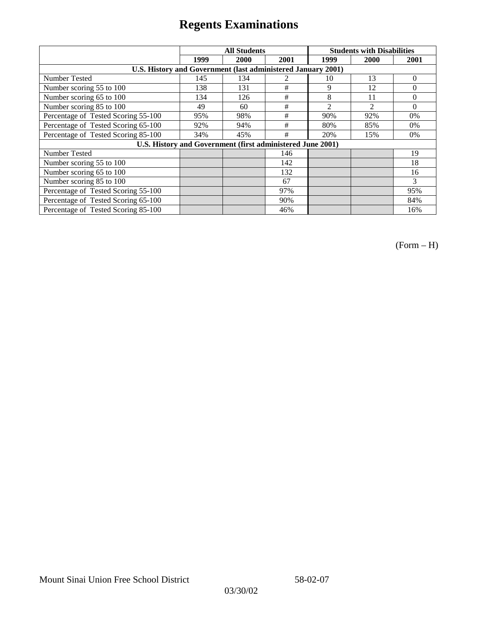|                                                              | <b>All Students</b> |      |      |                | <b>Students with Disabilities</b> |          |
|--------------------------------------------------------------|---------------------|------|------|----------------|-----------------------------------|----------|
|                                                              | 1999                | 2000 | 2001 | 1999           | 2000                              | 2001     |
| U.S. History and Government (last administered January 2001) |                     |      |      |                |                                   |          |
| Number Tested                                                | 145                 | 134  |      | 10             | 13                                | $\Omega$ |
| Number scoring 55 to 100                                     | 138                 | 131  | #    | 9              | 12                                | 0        |
| Number scoring 65 to 100                                     | 134                 | 126  | #    | 8              | 11                                | $\theta$ |
| Number scoring 85 to 100                                     | 49                  | 60   | #    | $\mathfrak{D}$ | $\mathfrak{D}$                    | $\Omega$ |
| Percentage of Tested Scoring 55-100                          | 95%                 | 98%  | #    | 90%            | 92%                               | $0\%$    |
| Percentage of Tested Scoring 65-100                          | 92%                 | 94%  | #    | 80%            | 85%                               | $0\%$    |
| Percentage of Tested Scoring 85-100                          | 34%                 | 45%  | #    | 20%            | 15%                               | $0\%$    |
| U.S. History and Government (first administered June 2001)   |                     |      |      |                |                                   |          |
| Number Tested                                                |                     |      | 146  |                |                                   | 19       |
| Number scoring 55 to 100                                     |                     |      | 142  |                |                                   | 18       |
| Number scoring 65 to 100                                     |                     |      | 132  |                |                                   | 16       |
| Number scoring 85 to 100                                     |                     |      | 67   |                |                                   | 3        |
| Percentage of Tested Scoring 55-100                          |                     |      | 97%  |                |                                   | 95%      |
| Percentage of Tested Scoring 65-100                          |                     |      | 90%  |                |                                   | 84%      |
| Percentage of Tested Scoring 85-100                          |                     |      | 46%  |                |                                   | 16%      |

(Form – H)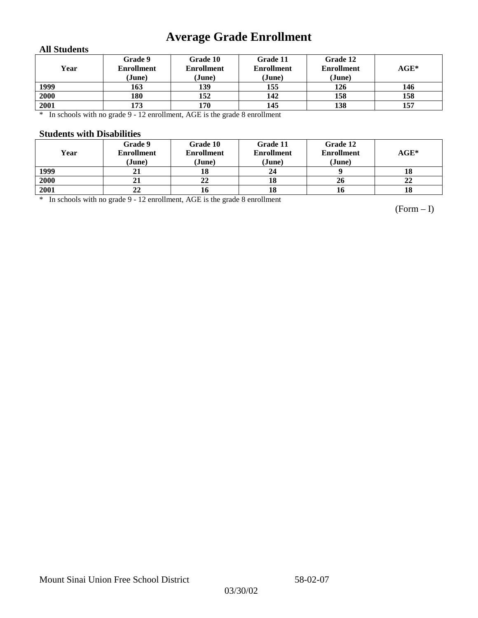## **Average Grade Enrollment**

### **All Students**

| Year | Grade 9<br><b>Enrollment</b><br>(June) | Grade 10<br><b>Enrollment</b><br>(June) | Grade 11<br><b>Enrollment</b><br>(June) | Grade 12<br><b>Enrollment</b><br>(June) | $AGE^*$ |
|------|----------------------------------------|-----------------------------------------|-----------------------------------------|-----------------------------------------|---------|
| 1999 | 163                                    | 139                                     | 155                                     | 126                                     | 146     |
| 2000 | 180                                    | 152                                     | 142                                     | 158                                     | 158     |
| 2001 | 173                                    | 170                                     | 145                                     | 138                                     | 157     |

\* In schools with no grade 9 - 12 enrollment, AGE is the grade 8 enrollment

### **Students with Disabilities**

| Year | Grade 9<br><b>Enrollment</b><br>(June) | Grade 10<br><b>Enrollment</b><br>(June) | Grade 11<br><b>Enrollment</b><br>(June) | Grade 12<br><b>Enrollment</b><br>(June) | $AGE^*$ |
|------|----------------------------------------|-----------------------------------------|-----------------------------------------|-----------------------------------------|---------|
| 1999 | 21                                     |                                         | 24                                      |                                         | 18      |
| 2000 | 21                                     | 22                                      | 18                                      | 26                                      | 22      |
| 2001 | 22                                     |                                         | 18                                      | 10                                      | 18      |

\* In schools with no grade 9 - 12 enrollment, AGE is the grade 8 enrollment

(Form – I)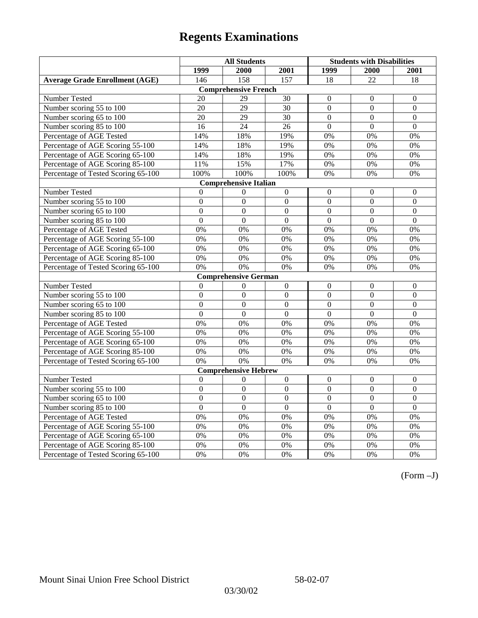|                                       | <b>All Students</b> |                              |                  | <b>Students with Disabilities</b> |                |                  |
|---------------------------------------|---------------------|------------------------------|------------------|-----------------------------------|----------------|------------------|
|                                       | 1999                | 2000                         | 2001             | 1999                              | 2000           | 2001             |
| <b>Average Grade Enrollment (AGE)</b> | 146                 | 158                          | 157              | 18                                | 22             | 18               |
|                                       |                     | <b>Comprehensive French</b>  |                  |                                   |                |                  |
| Number Tested                         | 20                  | 29                           | $\overline{30}$  | $\overline{0}$                    | $\overline{0}$ | $\mathbf{0}$     |
| Number scoring 55 to 100              | 20                  | 29                           | 30               | $\overline{0}$                    | $\mathbf{0}$   | $\mathbf{0}$     |
| Number scoring 65 to 100              | 20                  | 29                           | 30               | $\overline{0}$                    | $\mathbf{0}$   | $\mathbf{0}$     |
| Number scoring 85 to 100              | 16                  | 24                           | 26               | $\overline{0}$                    | $\mathbf{0}$   | $\mathbf{0}$     |
| Percentage of AGE Tested              | 14%                 | 18%                          | 19%              | 0%                                | 0%             | 0%               |
| Percentage of AGE Scoring 55-100      | 14%                 | 18%                          | 19%              | 0%                                | 0%             | 0%               |
| Percentage of AGE Scoring 65-100      | 14%                 | 18%                          | 19%              | 0%                                | 0%             | 0%               |
| Percentage of AGE Scoring 85-100      | 11%                 | 15%                          | 17%              | $0\%$                             | $0\%$          | $0\%$            |
| Percentage of Tested Scoring 65-100   | 100%                | 100%                         | 100%             | 0%                                | 0%             | 0%               |
|                                       |                     | <b>Comprehensive Italian</b> |                  |                                   |                |                  |
| Number Tested                         | $\overline{0}$      | $\theta$                     | $\boldsymbol{0}$ | $\overline{0}$                    | $\mathbf{0}$   | $\boldsymbol{0}$ |
| Number scoring 55 to 100              | $\mathbf{0}$        | $\mathbf{0}$                 | $\boldsymbol{0}$ | $\overline{0}$                    | $\mathbf{0}$   | $\boldsymbol{0}$ |
| Number scoring 65 to 100              | $\overline{0}$      | $\overline{0}$               | $\overline{0}$   | $\overline{0}$                    | $\overline{0}$ | $\mathbf{0}$     |
| Number scoring 85 to 100              | $\mathbf{0}$        | $\mathbf{0}$                 | $\overline{0}$   | $\overline{0}$                    | $\mathbf{0}$   | $\mathbf{0}$     |
| Percentage of AGE Tested              | 0%                  | 0%                           | 0%               | 0%                                | 0%             | 0%               |
| Percentage of AGE Scoring 55-100      | 0%                  | 0%                           | 0%               | 0%                                | 0%             | 0%               |
| Percentage of AGE Scoring 65-100      | 0%                  | 0%                           | $0\%$            | 0%                                | 0%             | 0%               |
| Percentage of AGE Scoring 85-100      | 0%                  | 0%                           | 0%               | $0\%$                             | 0%             | 0%               |
| Percentage of Tested Scoring 65-100   | 0%                  | 0%                           | 0%               | 0%                                | 0%             | 0%               |
|                                       |                     | <b>Comprehensive German</b>  |                  |                                   |                |                  |
| Number Tested                         | $\boldsymbol{0}$    | $\theta$                     | $\boldsymbol{0}$ | $\mathbf{0}$                      | $\mathbf{0}$   | $\boldsymbol{0}$ |
| Number scoring 55 to 100              | $\mathbf{0}$        | $\mathbf{0}$                 | $\overline{0}$   | $\overline{0}$                    | $\overline{0}$ | $\mathbf{0}$     |
| Number scoring 65 to 100              | $\overline{0}$      | $\mathbf{0}$                 | $\overline{0}$   | $\overline{0}$                    | $\mathbf{0}$   | $\boldsymbol{0}$ |
| Number scoring 85 to 100              | $\overline{0}$      | $\overline{0}$               | $\overline{0}$   | $\overline{0}$                    | $\overline{0}$ | $\overline{0}$   |
| Percentage of AGE Tested              | 0%                  | 0%                           | 0%               | 0%                                | 0%             | 0%               |
| Percentage of AGE Scoring 55-100      | 0%                  | 0%                           | $0\%$            | $0\%$                             | 0%             | 0%               |
| Percentage of AGE Scoring 65-100      | 0%                  | 0%                           | 0%               | 0%                                | 0%             | 0%               |
| Percentage of AGE Scoring 85-100      | 0%                  | 0%                           | 0%               | 0%                                | 0%             | 0%               |
| Percentage of Tested Scoring 65-100   | 0%                  | 0%                           | 0%               | $0\%$                             | 0%             | 0%               |
|                                       |                     | <b>Comprehensive Hebrew</b>  |                  |                                   |                |                  |
| <b>Number Tested</b>                  | $\mathbf{0}$        | $\mathbf{0}$                 | $\overline{0}$   | $\overline{0}$                    | $\mathbf{0}$   | $\mathbf{0}$     |
| Number scoring 55 to 100              | $\boldsymbol{0}$    | $\boldsymbol{0}$             | $\overline{0}$   | $\mathbf{0}$                      | $\mathbf{0}$   | $\boldsymbol{0}$ |
| Number scoring 65 to 100              | $\boldsymbol{0}$    | $\mathbf{0}$                 | $\overline{0}$   | $\overline{0}$                    | $\mathbf{0}$   | $\mathbf{0}$     |
| Number scoring 85 to 100              | $\mathbf{0}$        | $\mathbf{0}$                 | $\overline{0}$   | $\mathbf{0}$                      | $\mathbf{0}$   | $\mathbf{0}$     |
| Percentage of AGE Tested              | 0%                  | 0%                           | 0%               | 0%                                | 0%             | 0%               |
| Percentage of AGE Scoring 55-100      | 0%                  | 0%                           | 0%               | 0%                                | 0%             | 0%               |
| Percentage of AGE Scoring 65-100      | 0%                  | 0%                           | 0%               | 0%                                | 0%             | 0%               |
| Percentage of AGE Scoring 85-100      | 0%                  | 0%                           | 0%               | $0\%$                             | 0%             | 0%               |
| Percentage of Tested Scoring 65-100   | 0%                  | 0%                           | 0%               | 0%                                | 0%             | 0%               |

(Form –J)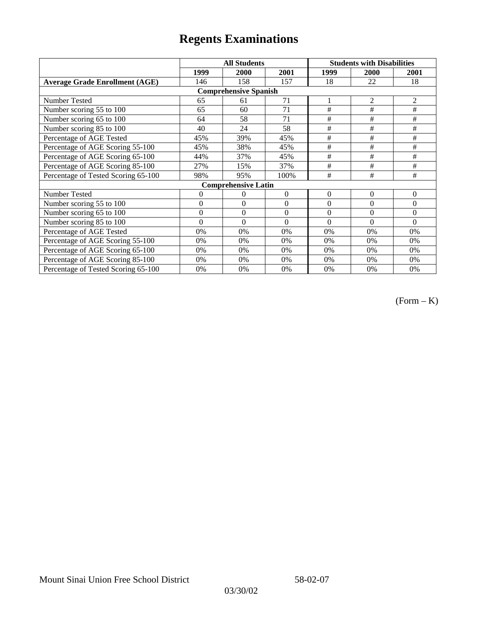|                                       | <b>All Students</b> |                            |                  | <b>Students with Disabilities</b> |                |                |  |  |
|---------------------------------------|---------------------|----------------------------|------------------|-----------------------------------|----------------|----------------|--|--|
|                                       | 1999                | 2000                       | 2001             | 1999                              | 2000           | 2001           |  |  |
| <b>Average Grade Enrollment (AGE)</b> | 146                 | 158                        | 157              | 18                                | 22             | 18             |  |  |
| <b>Comprehensive Spanish</b>          |                     |                            |                  |                                   |                |                |  |  |
| Number Tested                         | 65                  | 61                         | 71               |                                   | $\overline{2}$ | $\overline{2}$ |  |  |
| Number scoring 55 to 100              | 65                  | 60                         | 71               | #                                 | $\#$           | $\#$           |  |  |
| Number scoring 65 to 100              | 64                  | 58                         | 71               | #                                 | #              | #              |  |  |
| Number scoring 85 to 100              | 40                  | 24                         | 58               | #                                 | #              | #              |  |  |
| Percentage of AGE Tested              | 45%                 | 39%                        | 45%              | #                                 | #              | #              |  |  |
| Percentage of AGE Scoring 55-100      | 45%                 | 38%                        | 45%              | #                                 | $\#$           | $\#$           |  |  |
| Percentage of AGE Scoring 65-100      | 44%                 | 37%                        | 45%              | #                                 | #              | #              |  |  |
| Percentage of AGE Scoring 85-100      | 27%                 | 15%                        | 37%              | #                                 | #              | #              |  |  |
| Percentage of Tested Scoring 65-100   | 98%                 | 95%                        | 100%             | #                                 | #              | #              |  |  |
|                                       |                     | <b>Comprehensive Latin</b> |                  |                                   |                |                |  |  |
| Number Tested                         | $\overline{0}$      | $\theta$                   | $\Omega$         | $\overline{0}$                    | $\overline{0}$ | $\theta$       |  |  |
| Number scoring 55 to 100              | $\overline{0}$      | $\Omega$                   | $\boldsymbol{0}$ | $\theta$                          | $\theta$       | $\Omega$       |  |  |
| Number scoring 65 to 100              | $\mathbf{0}$        | $\theta$                   | $\theta$         | $\theta$                          | $\theta$       | $\Omega$       |  |  |
| Number scoring 85 to 100              | $\overline{0}$      | $\Omega$                   | $\Omega$         | $\Omega$                          | $\theta$       | $\Omega$       |  |  |
| Percentage of AGE Tested              | 0%                  | 0%                         | 0%               | 0%                                | 0%             | 0%             |  |  |
| Percentage of AGE Scoring 55-100      | 0%                  | 0%                         | 0%               | 0%                                | 0%             | 0%             |  |  |
| Percentage of AGE Scoring 65-100      | 0%                  | 0%                         | 0%               | 0%                                | 0%             | 0%             |  |  |
| Percentage of AGE Scoring 85-100      | 0%                  | 0%                         | 0%               | $0\%$                             | 0%             | 0%             |  |  |
| Percentage of Tested Scoring 65-100   | 0%                  | 0%                         | 0%               | 0%                                | 0%             | 0%             |  |  |

(Form – K)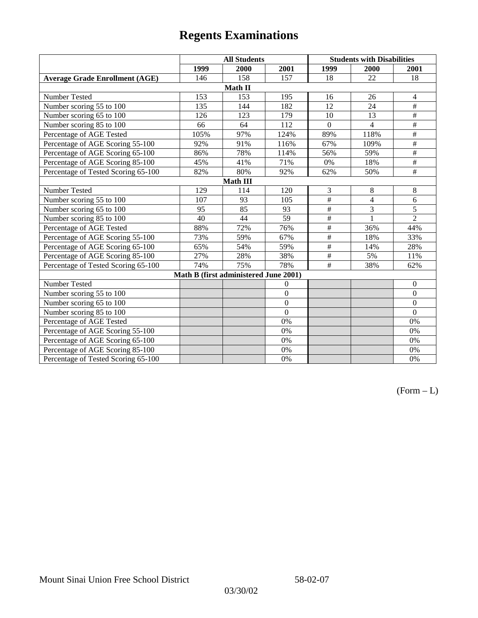|                                       | <b>All Students</b> |                                       |                | <b>Students with Disabilities</b> |                |                          |  |  |  |
|---------------------------------------|---------------------|---------------------------------------|----------------|-----------------------------------|----------------|--------------------------|--|--|--|
|                                       | 1999                | 2000                                  | 2001           | 1999                              | 2000           | 2001                     |  |  |  |
| <b>Average Grade Enrollment (AGE)</b> | 146                 | 158                                   | 157            | 18                                | 22             | 18                       |  |  |  |
|                                       |                     | Math II                               |                |                                   |                |                          |  |  |  |
| Number Tested                         | 153                 | 153                                   | 195            | 16                                | 26             | $\overline{4}$           |  |  |  |
| Number scoring 55 to 100              | 135                 | 144                                   | 182            | $\overline{12}$                   | 24             | $\overline{+}$           |  |  |  |
| Number scoring 65 to 100              | 126                 | 123                                   | 179            | 10                                | 13             | $\overline{+}$           |  |  |  |
| Number scoring 85 to 100              | 66                  | 64                                    | 112            | $\mathbf{0}$                      | $\overline{4}$ | #                        |  |  |  |
| Percentage of AGE Tested              | 105%                | 97%                                   | 124%           | 89%                               | 118%           | $\overline{\overline{}}$ |  |  |  |
| Percentage of AGE Scoring 55-100      | 92%                 | 91%                                   | 116%           | 67%                               | 109%           | $\overline{\overline{}}$ |  |  |  |
| Percentage of AGE Scoring 65-100      | 86%                 | 78%                                   | 114%           | 56%                               | 59%            | $\overline{\overline{}}$ |  |  |  |
| Percentage of AGE Scoring 85-100      | 45%                 | 41%                                   | 71%            | 0%                                | 18%            | #                        |  |  |  |
| Percentage of Tested Scoring 65-100   | 82%                 | 80%                                   | 92%            | 62%                               | 50%            | $\overline{+}$           |  |  |  |
|                                       | <b>Math III</b>     |                                       |                |                                   |                |                          |  |  |  |
| Number Tested                         | 129                 | 114                                   | 120            | 3                                 | 8              | 8                        |  |  |  |
| Number scoring 55 to 100              | 107                 | 93                                    | 105            | #                                 | $\overline{4}$ | 6                        |  |  |  |
| Number scoring 65 to 100              | 95                  | 85                                    | 93             | $\frac{1}{2}$                     | 3              | 5                        |  |  |  |
| Number scoring 85 to 100              | 40                  | 44                                    | 59             | $\#$                              | 1              | $\overline{2}$           |  |  |  |
| Percentage of AGE Tested              | 88%                 | 72%                                   | 76%            | $\frac{1}{2}$                     | 36%            | 44%                      |  |  |  |
| Percentage of AGE Scoring 55-100      | 73%                 | 59%                                   | 67%            | $\overline{\#}$                   | 18%            | 33%                      |  |  |  |
| Percentage of AGE Scoring 65-100      | 65%                 | 54%                                   | 59%            | $\frac{1}{2}$                     | 14%            | 28%                      |  |  |  |
| Percentage of AGE Scoring 85-100      | 27%                 | 28%                                   | 38%            | $\#$                              | 5%             | 11%                      |  |  |  |
| Percentage of Tested Scoring 65-100   | 74%                 | 75%                                   | 78%            | #                                 | 38%            | 62%                      |  |  |  |
|                                       |                     | Math B (first administered June 2001) |                |                                   |                |                          |  |  |  |
| Number Tested                         |                     |                                       | $\overline{0}$ |                                   |                | $\theta$                 |  |  |  |
| Number scoring 55 to 100              |                     |                                       | $\overline{0}$ |                                   |                | $\theta$                 |  |  |  |
| Number scoring 65 to 100              |                     |                                       | $\overline{0}$ |                                   |                | $\mathbf{0}$             |  |  |  |
| Number scoring 85 to 100              |                     |                                       | $\theta$       |                                   |                | $\mathbf{0}$             |  |  |  |
| Percentage of AGE Tested              |                     |                                       | 0%             |                                   |                | 0%                       |  |  |  |
| Percentage of AGE Scoring 55-100      |                     |                                       | 0%             |                                   |                | 0%                       |  |  |  |
| Percentage of AGE Scoring 65-100      |                     |                                       | 0%             |                                   |                | 0%                       |  |  |  |
| Percentage of AGE Scoring 85-100      |                     |                                       | 0%             |                                   |                | 0%                       |  |  |  |
| Percentage of Tested Scoring 65-100   |                     |                                       | 0%             |                                   |                | 0%                       |  |  |  |

 $(Form - L)$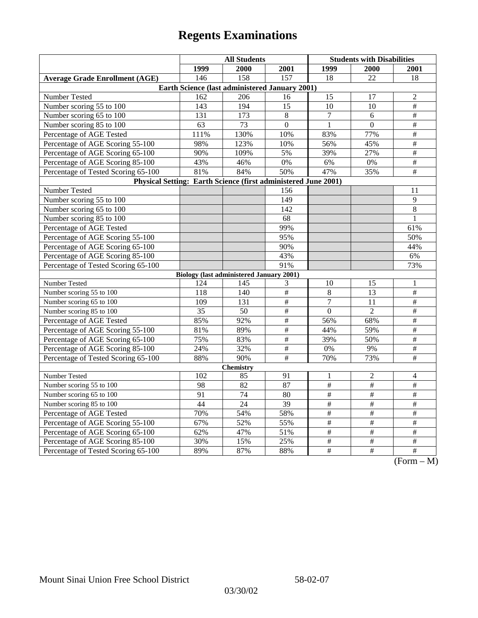|                                                                | <b>All Students</b>                             |                 |                 | <b>Students with Disabilities</b> |                          |                                                                        |  |  |
|----------------------------------------------------------------|-------------------------------------------------|-----------------|-----------------|-----------------------------------|--------------------------|------------------------------------------------------------------------|--|--|
|                                                                | 1999                                            | 2000            | 2001            | 1999                              | 2000                     | 2001                                                                   |  |  |
| <b>Average Grade Enrollment (AGE)</b>                          | 146                                             | 158             | 157             | 18                                | 22                       | 18                                                                     |  |  |
| Earth Science (last administered January 2001)                 |                                                 |                 |                 |                                   |                          |                                                                        |  |  |
| Number Tested                                                  | 162                                             | 206             | 16              | 15                                | 17                       | $\overline{2}$                                                         |  |  |
| Number scoring 55 to 100                                       | 143                                             | 194             | 15              | 10                                | 10                       | $\overline{\#}$                                                        |  |  |
| Number scoring 65 to 100                                       | 131                                             | 173             | 8               | $\tau$                            | 6                        | #                                                                      |  |  |
| Number scoring 85 to 100                                       | 63                                              | 73              | $\overline{0}$  | $\mathbf{1}$                      | $\mathbf{0}$             | $\overline{\#}$                                                        |  |  |
| Percentage of AGE Tested                                       | 111%                                            | 130%            | 10%             | 83%                               | 77%                      | $\overline{\#}$                                                        |  |  |
| Percentage of AGE Scoring 55-100                               | 98%                                             | 123%            | 10%             | 56%                               | 45%                      | $\overline{\#}$                                                        |  |  |
| Percentage of AGE Scoring 65-100                               | 90%                                             | 109%            | 5%              | 39%                               | 27%                      | $\overline{\#}$                                                        |  |  |
| Percentage of AGE Scoring 85-100                               | 43%                                             | 46%             | 0%              | 6%                                | $0\%$                    | #                                                                      |  |  |
| Percentage of Tested Scoring 65-100                            | 81%                                             | 84%             | 50%             | 47%                               | 35%                      | $\#$                                                                   |  |  |
| Physical Setting: Earth Science (first administered June 2001) |                                                 |                 |                 |                                   |                          |                                                                        |  |  |
| Number Tested                                                  |                                                 |                 | 156             |                                   |                          | 11                                                                     |  |  |
| Number scoring 55 to 100                                       |                                                 |                 | 149             |                                   |                          | 9                                                                      |  |  |
| Number scoring 65 to 100                                       |                                                 |                 | 142             |                                   |                          | $\overline{8}$                                                         |  |  |
| Number scoring 85 to 100                                       |                                                 |                 | 68              |                                   |                          | 1                                                                      |  |  |
| Percentage of AGE Tested                                       |                                                 |                 | 99%             |                                   |                          | 61%                                                                    |  |  |
| Percentage of AGE Scoring 55-100                               |                                                 |                 | 95%             |                                   |                          | 50%                                                                    |  |  |
| Percentage of AGE Scoring 65-100                               |                                                 |                 | 90%             |                                   |                          | 44%                                                                    |  |  |
| Percentage of AGE Scoring 85-100                               |                                                 |                 | 43%             |                                   |                          | 6%                                                                     |  |  |
| Percentage of Tested Scoring 65-100                            |                                                 |                 | 91%             |                                   |                          | 73%                                                                    |  |  |
|                                                                | <b>Biology (last administered January 2001)</b> |                 |                 |                                   |                          |                                                                        |  |  |
| Number Tested                                                  | 124                                             | 145             | 3               | 10                                | 15                       | 1                                                                      |  |  |
| Number scoring 55 to 100                                       | 118                                             | 140             | #               | 8                                 | $\overline{13}$          | $\overline{\overline{H}}$                                              |  |  |
| Number scoring 65 to 100                                       | 109                                             | 131             | $\overline{\#}$ | $\overline{7}$                    | 11                       | $\overline{\#}$                                                        |  |  |
| Number scoring 85 to 100                                       | 35                                              | 50              | #               | $\Omega$                          | $\overline{2}$           | $\overline{\#}$                                                        |  |  |
| Percentage of AGE Tested                                       | 85%                                             | 92%             | $\overline{\#}$ | 56%                               | 68%                      | $\overline{\#}$                                                        |  |  |
| Percentage of AGE Scoring 55-100                               | 81%                                             | 89%             | $\overline{\#}$ | 44%                               | 59%                      | #                                                                      |  |  |
| Percentage of AGE Scoring 65-100                               | 75%                                             | 83%             | $\#$            | 39%                               | 50%                      | $\#$                                                                   |  |  |
| Percentage of AGE Scoring 85-100                               | 24%                                             | 32%             | $\overline{\#}$ | 0%                                | 9%                       | $\overline{\#}$                                                        |  |  |
| Percentage of Tested Scoring 65-100                            | 88%                                             | 90%             | $\overline{\#}$ | 70%                               | 73%                      | #                                                                      |  |  |
| Chemistry                                                      |                                                 |                 |                 |                                   |                          |                                                                        |  |  |
| Number Tested                                                  | 102                                             | 85              | 91              | $\mathbf{1}$                      | $\mathfrak{2}$           | 4                                                                      |  |  |
| Number scoring 55 to 100                                       | 98                                              | 82              | 87              | $\overline{\#}$                   | $\overline{\overline{}}$ | $\overline{\#}$                                                        |  |  |
| Number scoring 65 to 100                                       | $\overline{91}$                                 | $\overline{74}$ | 80              | $\overline{\#}$                   | $\frac{1}{2}$            | $\frac{1}{2}$                                                          |  |  |
| Number scoring 85 to 100                                       | 44                                              | 24              | 39              | $\#$                              | $\#$                     | $\#$                                                                   |  |  |
| Percentage of AGE Tested                                       | 70%                                             | 54%             | 58%             | $\overline{\#}$                   | $\overline{\overline{}}$ | $\overline{\#}$                                                        |  |  |
| Percentage of AGE Scoring 55-100                               | 67%                                             | 52%             | 55%             | $\#$                              | $\overline{+}$           | $\#$                                                                   |  |  |
| Percentage of AGE Scoring 65-100                               | 62%                                             | 47%             | 51%             | $\overline{\#}$                   | $\overline{\overline{}}$ | $\overline{+}$                                                         |  |  |
| Percentage of AGE Scoring 85-100                               | 30%                                             | 15%             | 25%             | $\overline{\#}$                   | #                        | $\overline{\#}$                                                        |  |  |
| Percentage of Tested Scoring 65-100                            | 89%                                             | 87%             | 88%             | $\overline{+}$                    | $\overline{+}$           | $\overline{+}$<br>$\sqrt{\Gamma_{\alpha\mu\mu\alpha}}$<br>$\mathbf{M}$ |  |  |

(Form – M)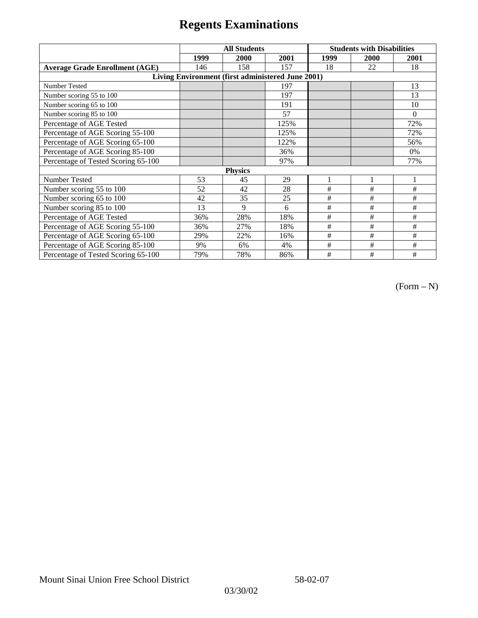|                                                   | <b>All Students</b> |      |      | <b>Students with Disabilities</b> |              |          |  |  |
|---------------------------------------------------|---------------------|------|------|-----------------------------------|--------------|----------|--|--|
|                                                   | 1999                | 2000 | 2001 | 1999                              | 2000         | 2001     |  |  |
| <b>Average Grade Enrollment (AGE)</b>             | 146                 | 158  | 157  | 18                                | 22           | 18       |  |  |
| Living Environment (first administered June 2001) |                     |      |      |                                   |              |          |  |  |
| Number Tested                                     |                     |      | 197  |                                   |              | 13       |  |  |
| Number scoring 55 to 100                          |                     |      | 197  |                                   |              | 13       |  |  |
| Number scoring 65 to 100                          |                     |      | 191  |                                   |              | 10       |  |  |
| Number scoring 85 to 100                          |                     |      | 57   |                                   |              | $\theta$ |  |  |
| Percentage of AGE Tested                          |                     |      | 125% |                                   |              | 72%      |  |  |
| Percentage of AGE Scoring 55-100                  |                     |      | 125% |                                   |              | 72%      |  |  |
| Percentage of AGE Scoring 65-100                  |                     |      | 122% |                                   |              | 56%      |  |  |
| Percentage of AGE Scoring 85-100                  |                     |      | 36%  |                                   |              | 0%       |  |  |
| Percentage of Tested Scoring 65-100               |                     |      | 97%  |                                   |              | 77%      |  |  |
| <b>Physics</b>                                    |                     |      |      |                                   |              |          |  |  |
| Number Tested                                     | 53                  | 45   | 29   |                                   | $\mathbf{1}$ |          |  |  |
| Number scoring 55 to 100                          | 52                  | 42   | 28   | #                                 | #            | #        |  |  |
| Number scoring 65 to 100                          | 42                  | 35   | 25   | #                                 | #            | #        |  |  |
| Number scoring 85 to 100                          | 13                  | 9    | 6    | #                                 | #            | #        |  |  |
| Percentage of AGE Tested                          | 36%                 | 28%  | 18%  | #                                 | #            | #        |  |  |
| Percentage of AGE Scoring 55-100                  | 36%                 | 27%  | 18%  | $\#$                              | $\#$         | #        |  |  |
| Percentage of AGE Scoring 65-100                  | 29%                 | 22%  | 16%  | #                                 | #            | #        |  |  |
| Percentage of AGE Scoring 85-100                  | 9%                  | 6%   | 4%   | #                                 | #            | #        |  |  |
| Percentage of Tested Scoring 65-100               | 79%                 | 78%  | 86%  | #                                 | #            | #        |  |  |

(Form – N)